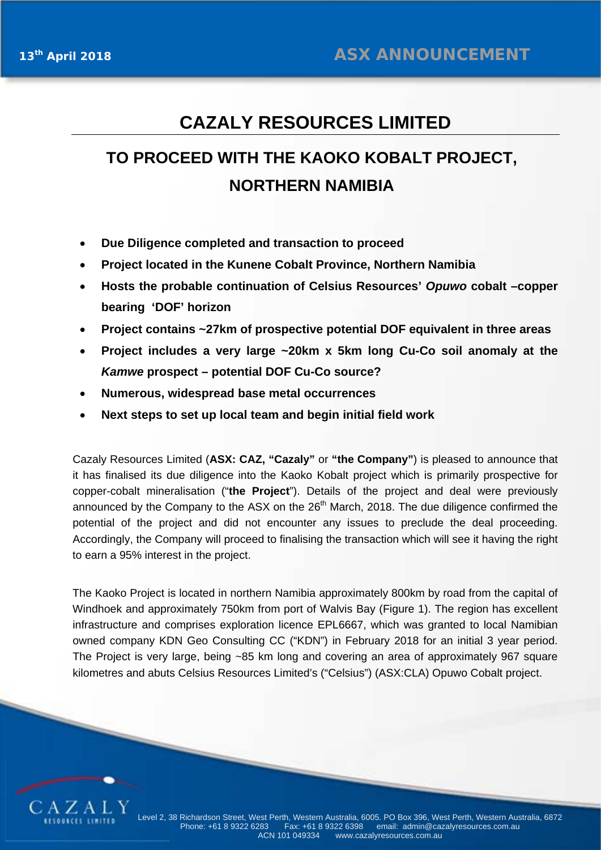## **CAZALY RESOURCES LIMITED**

# **TO PROCEED WITH THE KAOKO KOBALT PROJECT, NORTHERN NAMIBIA**

- **Due Diligence completed and transaction to proceed**
- **Project located in the Kunene Cobalt Province, Northern Namibia**
- **Hosts the probable continuation of Celsius Resources'** *Opuwo* **cobalt –copper bearing 'DOF' horizon**
- **Project contains ~27km of prospective potential DOF equivalent in three areas**
- **Project includes a very large ~20km x 5km long Cu-Co soil anomaly at the**  *Kamwe* **prospect – potential DOF Cu-Co source?**
- **Numerous, widespread base metal occurrences**
- **Next steps to set up local team and begin initial field work**

Cazaly Resources Limited (**ASX: CAZ, "Cazaly"** or **"the Company"**) is pleased to announce that it has finalised its due diligence into the Kaoko Kobalt project which is primarily prospective for copper-cobalt mineralisation ("**the Project**"). Details of the project and deal were previously announced by the Company to the ASX on the 26<sup>th</sup> March, 2018. The due diligence confirmed the potential of the project and did not encounter any issues to preclude the deal proceeding. Accordingly, the Company will proceed to finalising the transaction which will see it having the right to earn a 95% interest in the project.

The Kaoko Project is located in northern Namibia approximately 800km by road from the capital of Windhoek and approximately 750km from port of Walvis Bay (Figure 1). The region has excellent infrastructure and comprises exploration licence EPL6667, which was granted to local Namibian owned company KDN Geo Consulting CC ("KDN") in February 2018 for an initial 3 year period. The Project is very large, being ~85 km long and covering an area of approximately 967 square kilometres and abuts Celsius Resources Limited's ("Celsius") (ASX:CLA) Opuwo Cobalt project.

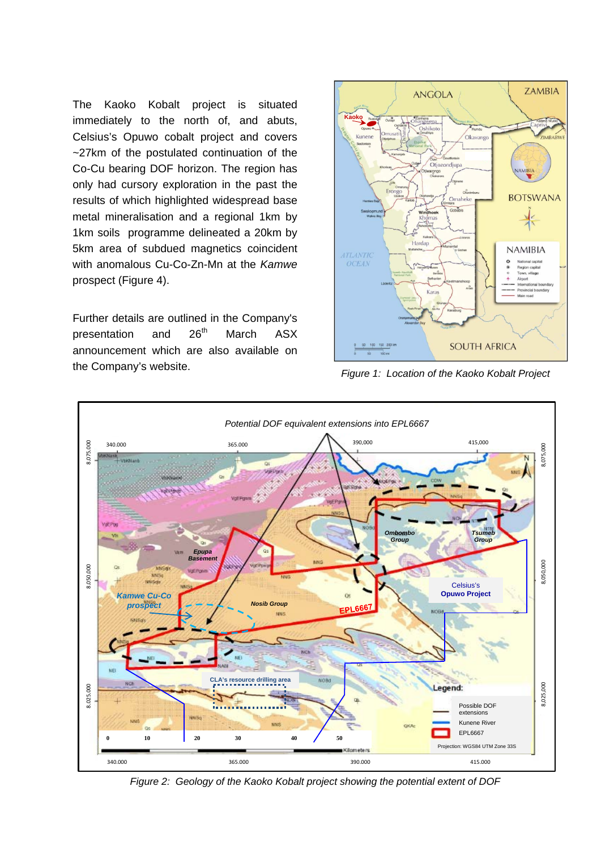The Kaoko Kobalt project is situated immediately to the north of, and abuts, Celsius's Opuwo cobalt project and covers ~27km of the postulated continuation of the Co-Cu bearing DOF horizon. The region has only had cursory exploration in the past the results of which highlighted widespread base metal mineralisation and a regional 1km by 1km soils programme delineated a 20km by 5km area of subdued magnetics coincident with anomalous Cu-Co-Zn-Mn at the *Kamwe*  prospect (Figure 4).

Further details are outlined in the Company's presentation and 26<sup>th</sup> March ASX announcement which are also available on the Company's website. *Figure 1: Location of the Kaoko Kobalt Project*





*Figure 2: Geology of the Kaoko Kobalt project showing the potential extent of DOF*